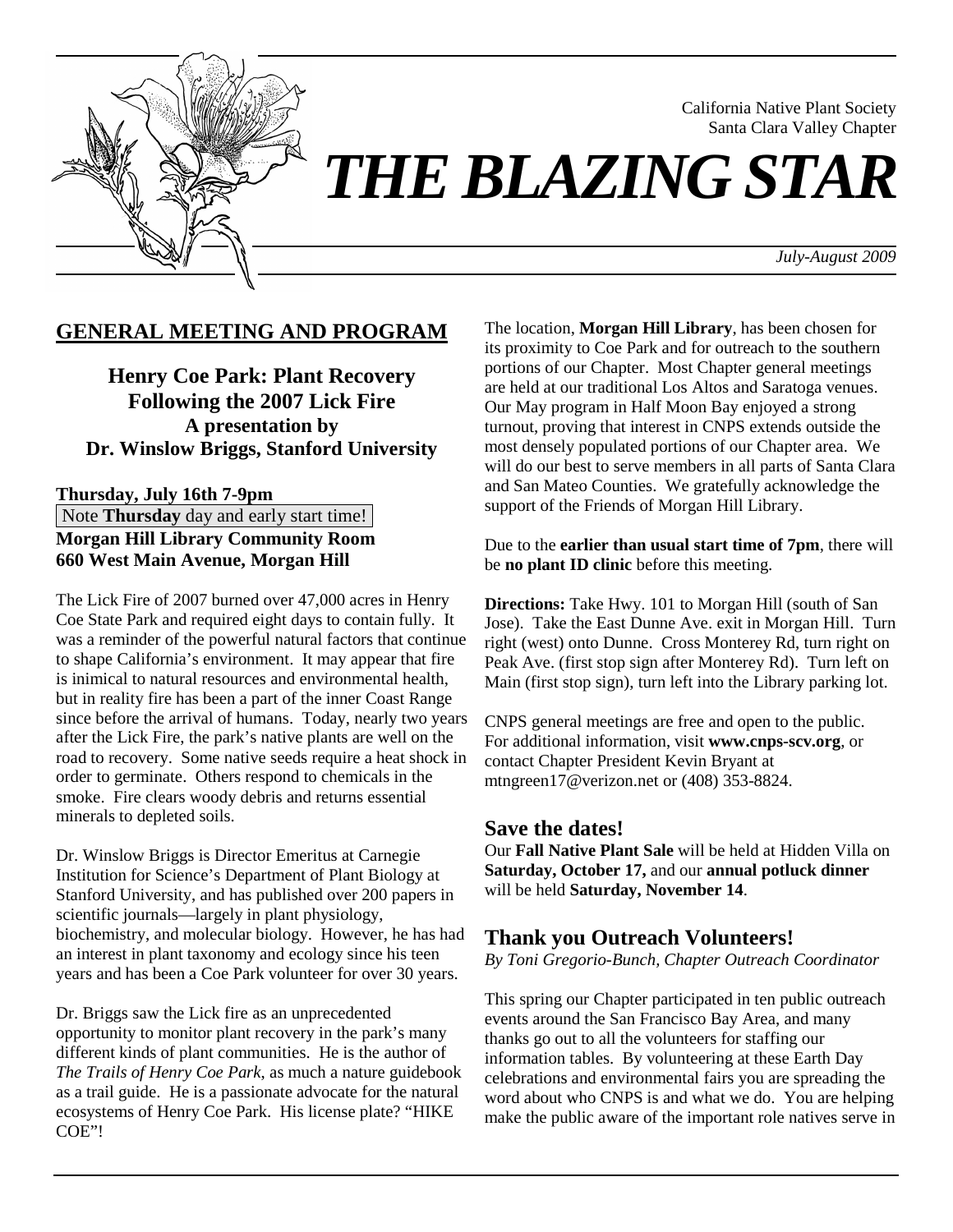

California Native Plant Society Santa Clara Valley Chapter

*July-August 2009*

### **GENERAL MEETING AND PROGRAM**

**Henry Coe Park: Plant Recovery Following the 2007 Lick Fire A presentation by Dr. Winslow Briggs, Stanford University** 

**Thursday, July 16th 7-9pm Note Thursday** day and early start time! **Morgan Hill Library Community Room 660 West Main Avenue, Morgan Hill** 

The Lick Fire of 2007 burned over 47,000 acres in Henry Coe State Park and required eight days to contain fully. It was a reminder of the powerful natural factors that continue to shape California's environment. It may appear that fire is inimical to natural resources and environmental health, but in reality fire has been a part of the inner Coast Range since before the arrival of humans. Today, nearly two years after the Lick Fire, the park's native plants are well on the road to recovery. Some native seeds require a heat shock in order to germinate. Others respond to chemicals in the smoke. Fire clears woody debris and returns essential minerals to depleted soils.

Dr. Winslow Briggs is Director Emeritus at Carnegie Institution for Science's Department of Plant Biology at Stanford University, and has published over 200 papers in scientific journals—largely in plant physiology, biochemistry, and molecular biology. However, he has had an interest in plant taxonomy and ecology since his teen years and has been a Coe Park volunteer for over 30 years.

Dr. Briggs saw the Lick fire as an unprecedented opportunity to monitor plant recovery in the park's many different kinds of plant communities. He is the author of *The Trails of Henry Coe Park*, as much a nature guidebook as a trail guide. He is a passionate advocate for the natural ecosystems of Henry Coe Park. His license plate? "HIKE COE"!

The location, **Morgan Hill Library**, has been chosen for its proximity to Coe Park and for outreach to the southern portions of our Chapter. Most Chapter general meetings are held at our traditional Los Altos and Saratoga venues. Our May program in Half Moon Bay enjoyed a strong turnout, proving that interest in CNPS extends outside the most densely populated portions of our Chapter area. We will do our best to serve members in all parts of Santa Clara and San Mateo Counties. We gratefully acknowledge the support of the Friends of Morgan Hill Library.

Due to the **earlier than usual start time of 7pm**, there will be **no plant ID clinic** before this meeting.

**Directions:** Take Hwy. 101 to Morgan Hill (south of San Jose). Take the East Dunne Ave. exit in Morgan Hill. Turn right (west) onto Dunne. Cross Monterey Rd, turn right on Peak Ave. (first stop sign after Monterey Rd). Turn left on Main (first stop sign), turn left into the Library parking lot.

CNPS general meetings are free and open to the public. For additional information, visit **www.cnps-scv.org**, or contact Chapter President Kevin Bryant at mtngreen17@verizon.net or (408) 353-8824.

### **Save the dates!**

Our **Fall Native Plant Sale** will be held at Hidden Villa on **Saturday, October 17,** and our **annual potluck dinner** will be held **Saturday, November 14**.

### **Thank you Outreach Volunteers!**

*By Toni Gregorio-Bunch, Chapter Outreach Coordinator* 

This spring our Chapter participated in ten public outreach events around the San Francisco Bay Area, and many thanks go out to all the volunteers for staffing our information tables. By volunteering at these Earth Day celebrations and environmental fairs you are spreading the word about who CNPS is and what we do. You are helping make the public aware of the important role natives serve in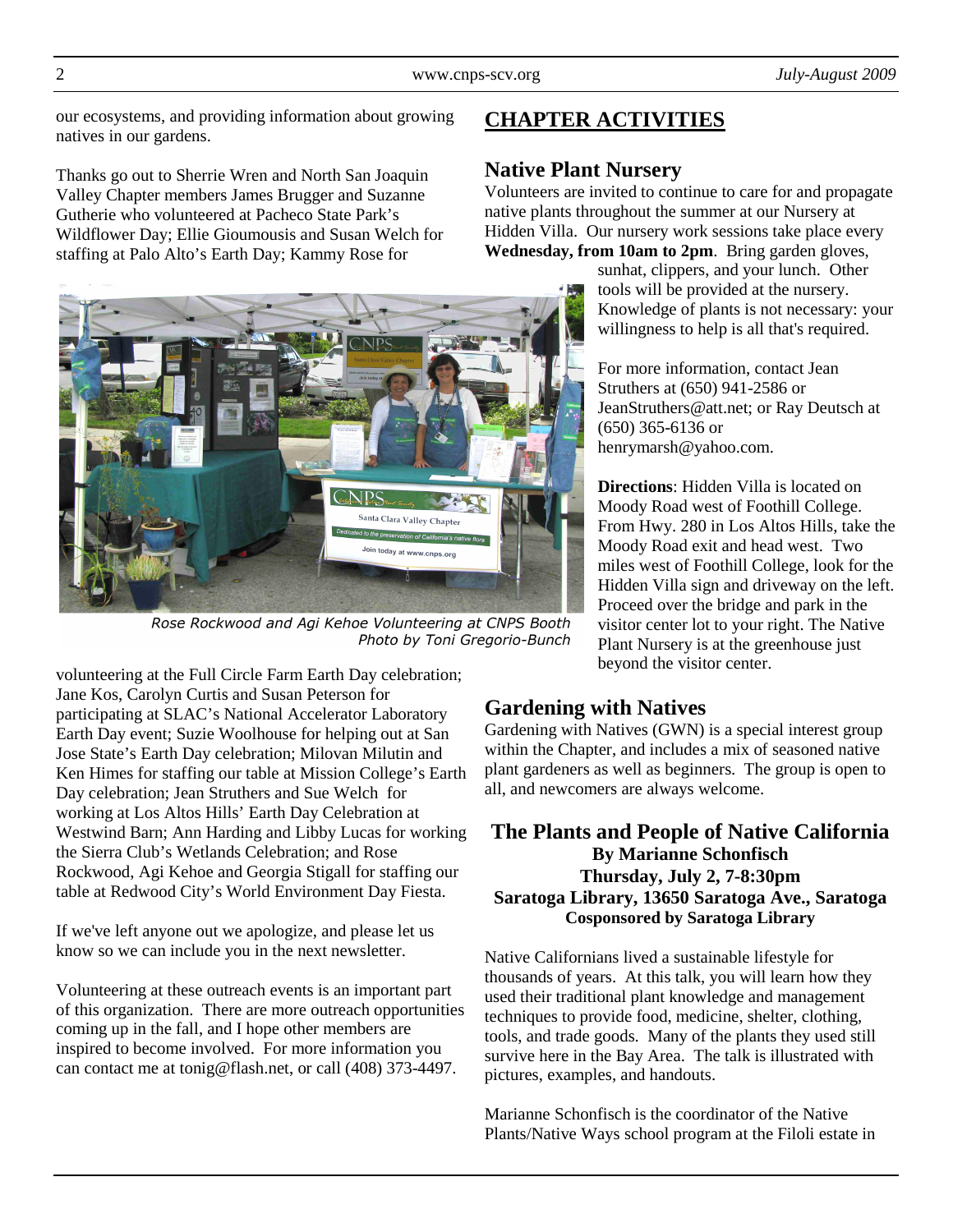our ecosystems, and providing information about growing natives in our gardens.

Thanks go out to Sherrie Wren and North San Joaquin Valley Chapter members James Brugger and Suzanne Gutherie who volunteered at Pacheco State Park's Wildflower Day; Ellie Gioumousis and Susan Welch for staffing at Palo Alto's Earth Day; Kammy Rose for



Rose Rockwood and Agi Kehoe Volunteering at CNPS Booth Photo by Toni Gregorio-Bunch

volunteering at the Full Circle Farm Earth Day celebration; Jane Kos, Carolyn Curtis and Susan Peterson for participating at SLAC's National Accelerator Laboratory Earth Day event; Suzie Woolhouse for helping out at San Jose State's Earth Day celebration; Milovan Milutin and Ken Himes for staffing our table at Mission College's Earth Day celebration; Jean Struthers and Sue Welch for working at Los Altos Hills' Earth Day Celebration at Westwind Barn; Ann Harding and Libby Lucas for working the Sierra Club's Wetlands Celebration; and Rose Rockwood, Agi Kehoe and Georgia Stigall for staffing our table at Redwood City's World Environment Day Fiesta.

If we've left anyone out we apologize, and please let us know so we can include you in the next newsletter.

Volunteering at these outreach events is an important part of this organization. There are more outreach opportunities coming up in the fall, and I hope other members are inspired to become involved. For more information you can contact me at tonig@flash.net, or call (408) 373-4497.

# **CHAPTER ACTIVITIES**

# **Native Plant Nursery**

Volunteers are invited to continue to care for and propagate native plants throughout the summer at our Nursery at Hidden Villa. Our nursery work sessions take place every **Wednesday, from 10am to 2pm**. Bring garden gloves,

sunhat, clippers, and your lunch. Other tools will be provided at the nursery. Knowledge of plants is not necessary: your willingness to help is all that's required.

For more information, contact Jean Struthers at (650) 941-2586 or JeanStruthers@att.net; or Ray Deutsch at (650) 365-6136 or henrymarsh@yahoo.com.

**Directions**: Hidden Villa is located on Moody Road west of Foothill College. From Hwy. 280 in Los Altos Hills, take the Moody Road exit and head west. Two miles west of Foothill College, look for the Hidden Villa sign and driveway on the left. Proceed over the bridge and park in the visitor center lot to your right. The Native Plant Nursery is at the greenhouse just beyond the visitor center.

# **Gardening with Natives**

Gardening with Natives (GWN) is a special interest group within the Chapter, and includes a mix of seasoned native plant gardeners as well as beginners. The group is open to all, and newcomers are always welcome.

### **The Plants and People of Native California By Marianne Schonfisch Thursday, July 2, 7-8:30pm Saratoga Library, 13650 Saratoga Ave., Saratoga Cosponsored by Saratoga Library**

Native Californians lived a sustainable lifestyle for thousands of years. At this talk, you will learn how they used their traditional plant knowledge and management techniques to provide food, medicine, shelter, clothing, tools, and trade goods. Many of the plants they used still survive here in the Bay Area. The talk is illustrated with pictures, examples, and handouts.

Marianne Schonfisch is the coordinator of the Native Plants/Native Ways school program at the Filoli estate in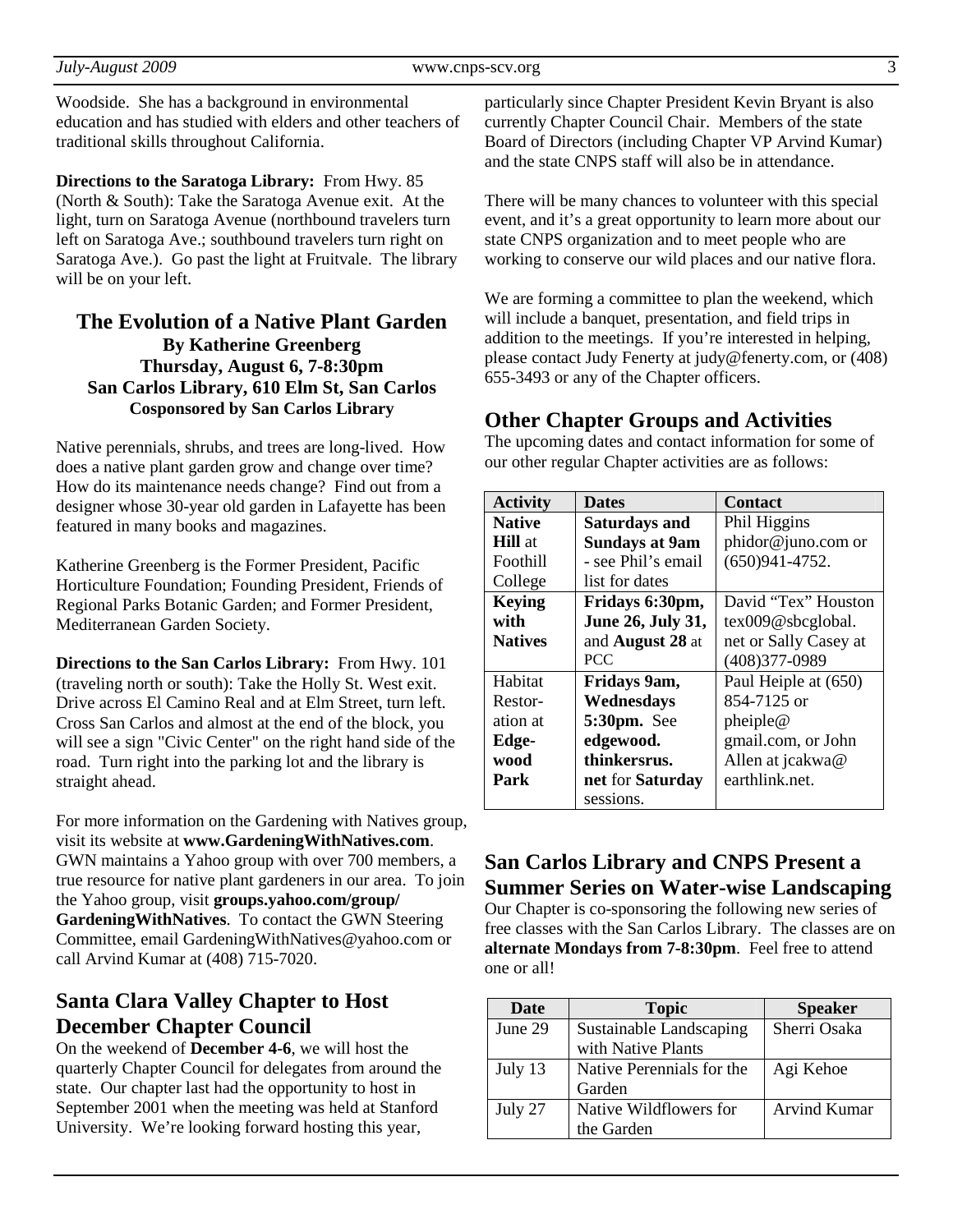Woodside. She has a background in environmental education and has studied with elders and other teachers of traditional skills throughout California.

**Directions to the Saratoga Library:** From Hwy. 85 (North & South): Take the Saratoga Avenue exit. At the light, turn on Saratoga Avenue (northbound travelers turn left on Saratoga Ave.; southbound travelers turn right on Saratoga Ave.). Go past the light at Fruitvale. The library will be on your left.

#### **The Evolution of a Native Plant Garden By Katherine Greenberg Thursday, August 6, 7-8:30pm San Carlos Library, 610 Elm St, San Carlos Cosponsored by San Carlos Library**

Native perennials, shrubs, and trees are long-lived. How does a native plant garden grow and change over time? How do its maintenance needs change? Find out from a designer whose 30-year old garden in Lafayette has been featured in many books and magazines.

Katherine Greenberg is the Former President, Pacific Horticulture Foundation; Founding President, Friends of Regional Parks Botanic Garden; and Former President, Mediterranean Garden Society.

**Directions to the San Carlos Library:** From Hwy. 101 (traveling north or south): Take the Holly St. West exit. Drive across El Camino Real and at Elm Street, turn left. Cross San Carlos and almost at the end of the block, you will see a sign "Civic Center" on the right hand side of the road. Turn right into the parking lot and the library is straight ahead.

For more information on the Gardening with Natives group, visit its website at **www.GardeningWithNatives.com**. GWN maintains a Yahoo group with over 700 members, a true resource for native plant gardeners in our area. To join the Yahoo group, visit **groups.yahoo.com/group/ GardeningWithNatives**. To contact the GWN Steering Committee, email GardeningWithNatives@yahoo.com or call Arvind Kumar at (408) 715-7020.

# **Santa Clara Valley Chapter to Host December Chapter Council**

On the weekend of **December 4-6**, we will host the quarterly Chapter Council for delegates from around the state. Our chapter last had the opportunity to host in September 2001 when the meeting was held at Stanford University. We're looking forward hosting this year,

particularly since Chapter President Kevin Bryant is also currently Chapter Council Chair. Members of the state Board of Directors (including Chapter VP Arvind Kumar) and the state CNPS staff will also be in attendance.

There will be many chances to volunteer with this special event, and it's a great opportunity to learn more about our state CNPS organization and to meet people who are working to conserve our wild places and our native flora.

We are forming a committee to plan the weekend, which will include a banquet, presentation, and field trips in addition to the meetings. If you're interested in helping, please contact Judy Fenerty at judy@fenerty.com, or (408) 655-3493 or any of the Chapter officers.

### **Other Chapter Groups and Activities**

The upcoming dates and contact information for some of our other regular Chapter activities are as follows:

| <b>Activity</b> | <b>Dates</b>            | <b>Contact</b>        |
|-----------------|-------------------------|-----------------------|
| <b>Native</b>   | <b>Saturdays and</b>    | Phil Higgins          |
| <b>Hill</b> at  | <b>Sundays at 9am</b>   | phidor@juno.com or    |
| Foothill        | - see Phil's email      | $(650)941 - 4752.$    |
| College         | list for dates          |                       |
| <b>Keying</b>   | Fridays 6:30pm,         | David "Tex" Houston   |
| with            | June 26, July 31,       | tex009@sbcglobal.     |
| <b>Natives</b>  | and <b>August 28</b> at | net or Sally Casey at |
|                 | <b>PCC</b>              | $(408)377 - 0989$     |
| Habitat         | Fridays 9am,            | Paul Heiple at (650)  |
| Restor-         | Wednesdays              | 854-7125 or           |
| ation at        | <b>5:30pm.</b> See      | pheiple@              |
| Edge-           | edgewood.               | gmail.com, or John    |
| wood            | thinkersrus.            | Allen at jcakwa@      |
| Park            | net for Saturday        | earthlink.net.        |
|                 | sessions.               |                       |

## **San Carlos Library and CNPS Present a Summer Series on Water-wise Landscaping**

Our Chapter is co-sponsoring the following new series of free classes with the San Carlos Library. The classes are on **alternate Mondays from 7-8:30pm**. Feel free to attend one or all!

| Date    | <b>Topic</b>              | <b>Speaker</b>      |
|---------|---------------------------|---------------------|
| June 29 | Sustainable Landscaping   | Sherri Osaka        |
|         | with Native Plants        |                     |
| July 13 | Native Perennials for the | Agi Kehoe           |
|         | Garden                    |                     |
| July 27 | Native Wildflowers for    | <b>Arvind Kumar</b> |
|         | the Garden                |                     |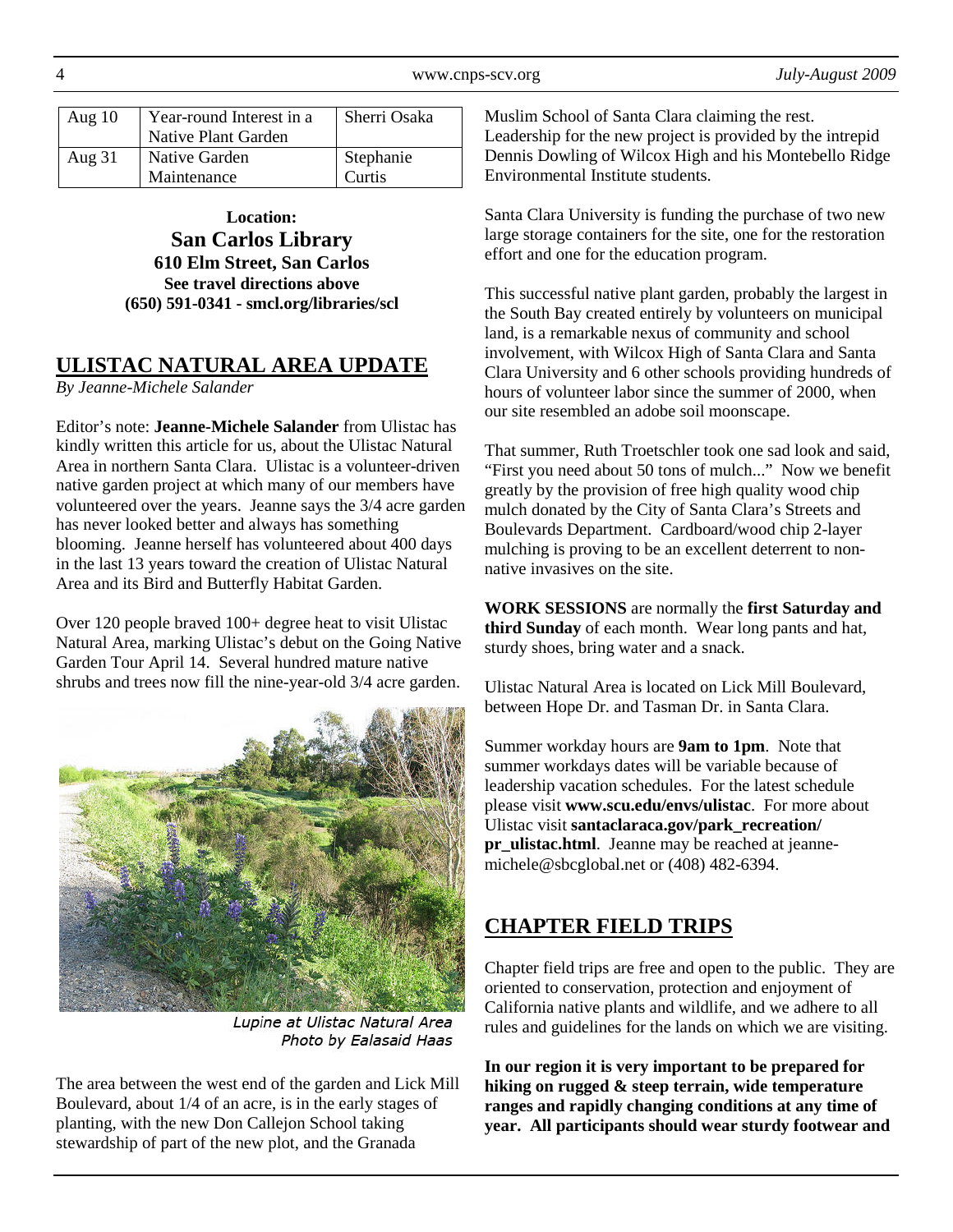| Aug $10$ | Year-round Interest in a<br>Native Plant Garden | Sherri Osaka |
|----------|-------------------------------------------------|--------------|
| Aug $31$ | Native Garden                                   | Stephanie    |
|          | Maintenance                                     | Curtis       |

**Location: San Carlos Library 610 Elm Street, San Carlos See travel directions above (650) 591-0341 - smcl.org/libraries/scl** 

# **ULISTAC NATURAL AREA UPDATE**

*By Jeanne-Michele Salander* 

Editor's note: **Jeanne-Michele Salander** from Ulistac has kindly written this article for us, about the Ulistac Natural Area in northern Santa Clara. Ulistac is a volunteer-driven native garden project at which many of our members have volunteered over the years. Jeanne says the 3/4 acre garden has never looked better and always has something blooming. Jeanne herself has volunteered about 400 days in the last 13 years toward the creation of Ulistac Natural Area and its Bird and Butterfly Habitat Garden.

Over 120 people braved 100+ degree heat to visit Ulistac Natural Area, marking Ulistac's debut on the Going Native Garden Tour April 14. Several hundred mature native shrubs and trees now fill the nine-year-old 3/4 acre garden.



Lupine at Ulistac Natural Area Photo by Ealasaid Haas

The area between the west end of the garden and Lick Mill Boulevard, about 1/4 of an acre, is in the early stages of planting, with the new Don Callejon School taking stewardship of part of the new plot, and the Granada

Muslim School of Santa Clara claiming the rest. Leadership for the new project is provided by the intrepid Dennis Dowling of Wilcox High and his Montebello Ridge Environmental Institute students.

Santa Clara University is funding the purchase of two new large storage containers for the site, one for the restoration effort and one for the education program.

This successful native plant garden, probably the largest in the South Bay created entirely by volunteers on municipal land, is a remarkable nexus of community and school involvement, with Wilcox High of Santa Clara and Santa Clara University and 6 other schools providing hundreds of hours of volunteer labor since the summer of 2000, when our site resembled an adobe soil moonscape.

That summer, Ruth Troetschler took one sad look and said, "First you need about 50 tons of mulch..." Now we benefit greatly by the provision of free high quality wood chip mulch donated by the City of Santa Clara's Streets and Boulevards Department. Cardboard/wood chip 2-layer mulching is proving to be an excellent deterrent to nonnative invasives on the site.

**WORK SESSIONS** are normally the **first Saturday and third Sunday** of each month. Wear long pants and hat, sturdy shoes, bring water and a snack.

Ulistac Natural Area is located on Lick Mill Boulevard, between Hope Dr. and Tasman Dr. in Santa Clara.

Summer workday hours are **9am to 1pm**. Note that summer workdays dates will be variable because of leadership vacation schedules. For the latest schedule please visit **www.scu.edu/envs/ulistac**. For more about Ulistac visit **santaclaraca.gov/park\_recreation/ pr\_ulistac.html**. Jeanne may be reached at jeannemichele@sbcglobal.net or (408) 482-6394.

# **CHAPTER FIELD TRIPS**

Chapter field trips are free and open to the public. They are oriented to conservation, protection and enjoyment of California native plants and wildlife, and we adhere to all rules and guidelines for the lands on which we are visiting.

**In our region it is very important to be prepared for hiking on rugged & steep terrain, wide temperature ranges and rapidly changing conditions at any time of year. All participants should wear sturdy footwear and**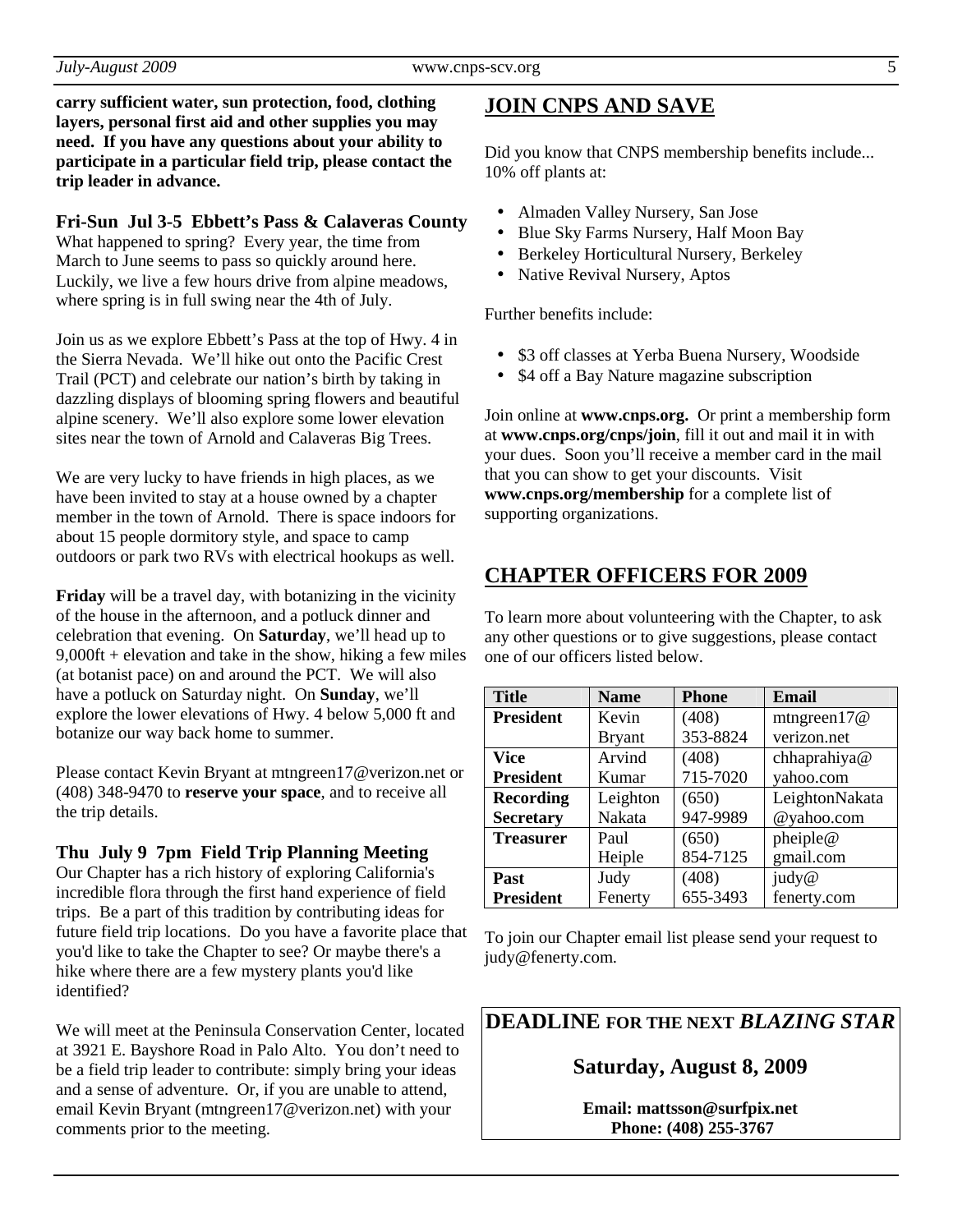**carry sufficient water, sun protection, food, clothing layers, personal first aid and other supplies you may need. If you have any questions about your ability to participate in a particular field trip, please contact the trip leader in advance.** 

**Fri-Sun Jul 3-5 Ebbett's Pass & Calaveras County** 

What happened to spring? Every year, the time from March to June seems to pass so quickly around here. Luckily, we live a few hours drive from alpine meadows, where spring is in full swing near the 4th of July.

Join us as we explore Ebbett's Pass at the top of Hwy. 4 in the Sierra Nevada. We'll hike out onto the Pacific Crest Trail (PCT) and celebrate our nation's birth by taking in dazzling displays of blooming spring flowers and beautiful alpine scenery. We'll also explore some lower elevation sites near the town of Arnold and Calaveras Big Trees.

We are very lucky to have friends in high places, as we have been invited to stay at a house owned by a chapter member in the town of Arnold. There is space indoors for about 15 people dormitory style, and space to camp outdoors or park two RVs with electrical hookups as well.

**Friday** will be a travel day, with botanizing in the vicinity of the house in the afternoon, and a potluck dinner and celebration that evening. On **Saturday**, we'll head up to 9,000ft + elevation and take in the show, hiking a few miles (at botanist pace) on and around the PCT. We will also have a potluck on Saturday night. On **Sunday**, we'll explore the lower elevations of Hwy. 4 below 5,000 ft and botanize our way back home to summer.

Please contact Kevin Bryant at mtngreen17@verizon.net or (408) 348-9470 to **reserve your space**, and to receive all the trip details.

#### **Thu July 9 7pm Field Trip Planning Meeting**

Our Chapter has a rich history of exploring California's incredible flora through the first hand experience of field trips. Be a part of this tradition by contributing ideas for future field trip locations. Do you have a favorite place that you'd like to take the Chapter to see? Or maybe there's a hike where there are a few mystery plants you'd like identified?

We will meet at the Peninsula Conservation Center, located at 3921 E. Bayshore Road in Palo Alto. You don't need to be a field trip leader to contribute: simply bring your ideas and a sense of adventure. Or, if you are unable to attend, email Kevin Bryant (mtngreen17@verizon.net) with your comments prior to the meeting.

## **JOIN CNPS AND SAVE**

Did you know that CNPS membership benefits include... 10% off plants at:

- Almaden Valley Nursery, San Jose
- Blue Sky Farms Nursery, Half Moon Bay
- Berkeley Horticultural Nursery, Berkeley
- Native Revival Nursery, Aptos

Further benefits include:

- \$3 off classes at Yerba Buena Nursery, Woodside
- \$4 off a Bay Nature magazine subscription

Join online at **www.cnps.org.** Or print a membership form at **www.cnps.org/cnps/join**, fill it out and mail it in with your dues. Soon you'll receive a member card in the mail that you can show to get your discounts. Visit **www.cnps.org/membership** for a complete list of supporting organizations.

# **CHAPTER OFFICERS FOR 2009**

To learn more about volunteering with the Chapter, to ask any other questions or to give suggestions, please contact one of our officers listed below.

| <b>Title</b>     | <b>Name</b>   | <b>Phone</b> | <b>Email</b>   |
|------------------|---------------|--------------|----------------|
| <b>President</b> | Kevin         | (408)        | mtngreen $17@$ |
|                  | <b>Bryant</b> | 353-8824     | verizon.net    |
| <b>Vice</b>      | Arvind        | (408)        | chhaprahiya@   |
| <b>President</b> | Kumar         | 715-7020     | yahoo.com      |
| <b>Recording</b> | Leighton      | (650)        | LeightonNakata |
| <b>Secretary</b> | Nakata        | 947-9989     | @yahoo.com     |
| <b>Treasurer</b> | Paul          | (650)        | pheiple@       |
|                  | Heiple        | 854-7125     | gmail.com      |
| Past             | Judy          | (408)        | judy@          |
| <b>President</b> | Fenerty       | 655-3493     | fenerty.com    |

To join our Chapter email list please send your request to judy@fenerty.com.

**DEADLINE FOR THE NEXT** *BLAZING STAR* 

#### **Saturday, August 8, 2009**

**Email: mattsson@surfpix.net Phone: (408) 255-3767**